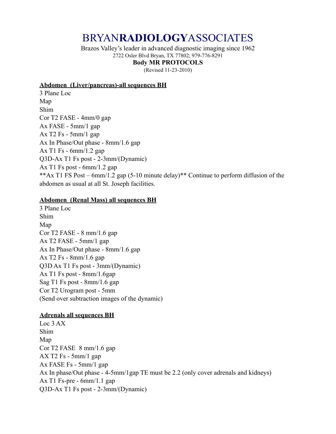# BRYAN**RADIOLOGY**ASSOCIATES

Brazos Valley's leader in advanced diagnostic imaging since 1962 2722 Osler Blvd Bryan, TX 77802; 979-776-8291

# **Body MR PROTOCOLS**

(Revised 11-23-2010)

#### **Abdomen (Liver/pancreas)-all sequences BH**

3 Plane Loc Map Shim Cor T2 FASE - 4mm/0 gap Ax FASE - 5mm/1 gap Ax T2 Fs -  $5mm/1$  gap Ax In Phase/Out phase - 8mm/1.6 gap Ax T1 Fs - 6mm/1.2 gap Q3D-Ax T1 Fs post - 2-3mm/(Dynamic) Ax T1 Fs post - 6mm/1.2 gap \*\*Ax T1 FS Post – 6mm/1.2 gap (5-10 minute delay)\*\* Continue to perform diffusion of the abdomen as usual at all St. Joseph facilities.

#### **Abdomen (Renal Mass) all sequences BH**

3 Plane Loc Shim Map Cor T2 FASE - 8 mm/1.6 gap Ax T2 FASE - 5mm/1 gap Ax In Phase/Out phase - 8mm/1.6 gap Ax T2 Fs - 8mm/1.6 gap Q3D Ax T1 Fs post - 3mm/(Dynamic) Ax T1 Fs post - 8mm/1.6gap Sag T1 Fs post - 8mm/1.6 gap Cor T2 Urogram post - 5mm (Send over subtraction images of the dynamic)

#### **Adrenals all sequences BH**

Loc 3 AX Shim Map Cor T2 FASE 8 mm/1.6 gap AX T2 Fs - 5mm/1 gap Ax FASE Fs - 5mm/1 gap Ax In phase/Out phase - 4-5mm/1gap TE must be 2.2 (only cover adrenals and kidneys) Ax T1 Fs-pre - 6mm/1.1 gap Q3D-Ax T1 Fs post - 2-3mm/(Dynamic)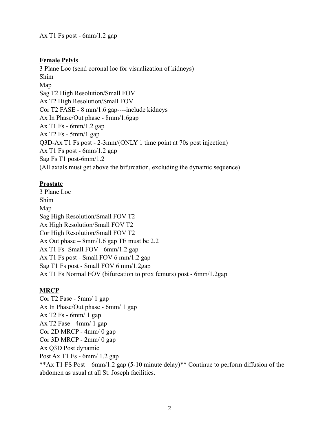Ax T1 Fs post - 6mm/1.2 gap

#### **Female Pelvis**

3 Plane Loc (send coronal loc for visualization of kidneys) Shim Map Sag T2 High Resolution/Small FOV Ax T2 High Resolution/Small FOV Cor T2 FASE - 8 mm/1.6 gap----include kidneys Ax In Phase/Out phase - 8mm/1.6gap Ax T1 Fs - 6mm/1.2 gap Ax T2 Fs - 5mm/1 gap Q3D-Ax T1 Fs post - 2-3mm/(ONLY 1 time point at 70s post injection) Ax T1 Fs post - 6mm/1.2 gap Sag Fs T1 post-6mm/1.2 (All axials must get above the bifurcation, excluding the dynamic sequence)

#### **Prostate**

3 Plane Loc Shim Map Sag High Resolution/Small FOV T2 Ax High Resolution/Small FOV T2 Cor High Resolution/Small FOV T2 Ax Out phase – 8mm/1.6 gap TE must be 2.2 Ax T1 Fs- Small FOV - 6mm/1.2 gap Ax T1 Fs post - Small FOV 6 mm/1.2 gap Sag T1 Fs post - Small FOV 6 mm/1.2gap Ax T1 Fs Normal FOV (bifurcation to prox femurs) post - 6mm/1.2gap

## **MRCP**

Cor T2 Fase - 5mm/ 1 gap Ax In Phase/Out phase - 6mm/ 1 gap Ax T2 Fs - 6mm/ 1 gap Ax T2 Fase - 4mm/ 1 gap Cor 2D MRCP - 4mm/ 0 gap Cor 3D MRCP - 2mm/ 0 gap Ax Q3D Post dynamic Post Ax T1 Fs - 6mm/ 1.2 gap \*\*Ax T1 FS Post – 6mm/1.2 gap (5-10 minute delay)\*\* Continue to perform diffusion of the abdomen as usual at all St. Joseph facilities.